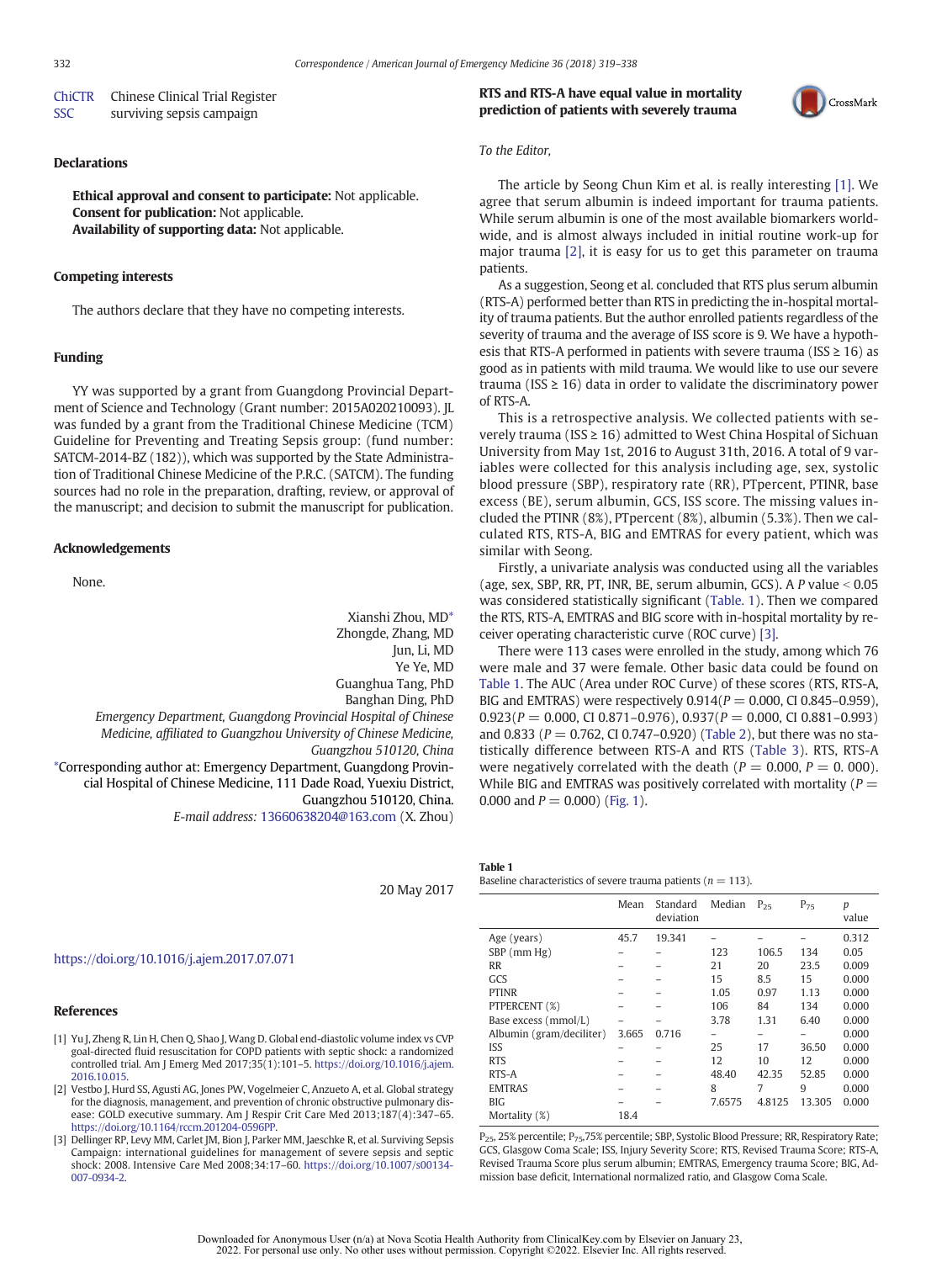| <b>ChiCTR</b> | Chinese Clinical Trial Register |
|---------------|---------------------------------|
| <b>SSC</b>    | surviving sepsis campaign       |

### Declarations

Ethical approval and consent to participate: Not applicable. Consent for publication: Not applicable. Availability of supporting data: Not applicable.

### Competing interests

The authors declare that they have no competing interests.

## Funding

YY was supported by a grant from Guangdong Provincial Department of Science and Technology (Grant number: 2015A020210093). JL was funded by a grant from the Traditional Chinese Medicine (TCM) Guideline for Preventing and Treating Sepsis group: (fund number: SATCM-2014-BZ (182)), which was supported by the State Administration of Traditional Chinese Medicine of the P.R.C. (SATCM). The funding sources had no role in the preparation, drafting, review, or approval of the manuscript; and decision to submit the manuscript for publication.

#### Acknowledgements

None.

Xianshi Zhou, MD\* Zhongde, Zhang, MD Jun, Li, MD Ye Ye, MD Guanghua Tang, PhD Banghan Ding, PhD Emergency Department, Guangdong Provincial Hospital of Chinese Medicine, affiliated to Guangzhou University of Chinese Medicine, Guangzhou 510120, China \*Corresponding author at: Emergency Department, Guangdong Provincial Hospital of Chinese Medicine, 111 Dade Road, Yuexiu District, Guangzhou 510120, China. E-mail address: [13660638204@163.com](mailto:jehyeokoh@cau.ac.kr) (X. Zhou)

20 May 2017

## [https://doi.org/10.1016/j.ajem.2017.07.071](https://doi.org/10.1016/j.ajem.2017.11.027)

### References

- [1] Yu J, Zheng R, Lin H, Chen Q, Shao J, Wang D. Global end-diastolic volume index vs CVP goal-directed fluid resuscitation for COPD patients with septic shock: a randomized controlled trial. Am J Emerg Med 2017;35(1):101–5. [https://doi.org/10.1016/j.ajem.](mailto:) [2016.10.015.](mailto:)
- [2] Vestbo J, Hurd SS, Agusti AG, Jones PW, Vogelmeier C, Anzueto A, et al. Global strategy for the diagnosis, management, and prevention of chronic obstructive pulmonary disease: GOLD executive summary. Am J Respir Crit Care Med 2013;187(4):347–65. [https://doi.org/10.1164/rccm.201204-0596PP](https://doi.org/10.1016/j.ajem.2017.06.027).
- [3] Dellinger RP, Levy MM, Carlet JM, Bion J, Parker MM, Jaeschke R, et al. Surviving Sepsis Campaign: international guidelines for management of severe sepsis and septic shock: 2008. Intensive Care Med 2008;34:17–60. [https://doi.org/10.1007/s00134-](https://doi.org/10.1093/bja/aew401) [007-0934-2](https://doi.org/10.1093/bja/aew401).

# RTS and RTS-A have equal value in mortality prediction of patients with severely trauma



# To the Editor,

The article by Seong Chun Kim et al. is really interesting [1]. We agree that serum albumin is indeed important for trauma patients. While serum albumin is one of the most available biomarkers worldwide, and is almost always included in initial routine work-up for major trauma [2], it is easy for us to get this parameter on trauma patients.

As a suggestion, Seong et al. concluded that RTS plus serum albumin (RTS-A) performed better than RTS in predicting the in-hospital mortality of trauma patients. But the author enrolled patients regardless of the severity of trauma and the average of ISS score is 9. We have a hypothesis that RTS-A performed in patients with severe trauma (ISS  $\geq$  16) as good as in patients with mild trauma. We would like to use our severe trauma (ISS  $\geq$  16) data in order to validate the discriminatory power of RTS-A.

This is a retrospective analysis. We collected patients with severely trauma (ISS  $\geq$  16) admitted to West China Hospital of Sichuan University from May 1st, 2016 to August 31th, 2016. A total of 9 variables were collected for this analysis including age, sex, systolic blood pressure (SBP), respiratory rate (RR), PTpercent, PTINR, base excess (BE), serum albumin, GCS, ISS score. The missing values included the PTINR (8%), PTpercent (8%), albumin (5.3%). Then we calculated RTS, RTS-A, BIG and EMTRAS for every patient, which was similar with Seong.

Firstly, a univariate analysis was conducted using all the variables (age, sex, SBP, RR, PT, INR, BE, serum albumin, GCS). A P value  $< 0.05$ was considered statistically significant (Table. 1). Then we compared the RTS, RTS-A, EMTRAS and BIG score with in-hospital mortality by receiver operating characteristic curve (ROC curve) [3].

There were 113 cases were enrolled in the study, among which 76 were male and 37 were female. Other basic data could be found on Table 1. The AUC (Area under ROC Curve) of these scores (RTS, RTS-A, BIG and EMTRAS) were respectively  $0.914(P = 0.000, C1 0.845 - 0.959)$ ,  $0.923(P = 0.000, \text{ CI } 0.871 - 0.976), 0.937(P = 0.000, \text{ CI } 0.881 - 0.993)$ and 0.833 ( $P = 0.762$ , CI 0.747–0.920) (Table 2), but there was no statistically difference between RTS-A and RTS (Table 3). RTS, RTS-A were negatively correlated with the death ( $P = 0.000$ ,  $P = 0.000$ ). While BIG and EMTRAS was positively correlated with mortality ( $P =$ 0.000 and  $P = 0.000$  (Fig. 1).

Baseline characteristics of severe trauma patients ( $n = 113$ ).

|                          | Mean  | Standard<br>deviation | Median       | $P_{25}$ | $P_{75}$ | р<br>value |
|--------------------------|-------|-----------------------|--------------|----------|----------|------------|
| Age (years)              | 45.7  | 19.341                |              |          |          | 0.312      |
| $SBP$ (mm $Hg$ )         |       |                       | 123          | 106.5    | 134      | 0.05       |
| <b>RR</b>                |       |                       | 21           | 20       | 23.5     | 0.009      |
| GCS                      |       |                       | 15           | 8.5      | 15       | 0.000      |
| <b>PTINR</b>             |       |                       | 1.05         | 0.97     | 1.13     | 0.000      |
| PTPERCENT (%)            |       |                       | 106          | 84       | 134      | 0.000      |
| Base excess (mmol/L)     |       |                       | 3.78         | 1.31     | 6.40     | 0.000      |
| Albumin (gram/deciliter) | 3.665 | 0.716                 |              |          |          | 0.000      |
| <b>ISS</b>               |       |                       | 25           | 17       | 36.50    | 0.000      |
| <b>RTS</b>               |       |                       | 12           | 10       | 12       | 0.000      |
| RTS-A                    |       |                       | 48.40        | 42.35    | 52.85    | 0.000      |
| <b>EMTRAS</b>            |       |                       | $\mathsf{R}$ | 7        | 9        | 0.000      |
| <b>BIG</b>               |       |                       | 7.6575       | 4.8125   | 13.305   | 0.000      |
| Mortality (%)            | 18.4  |                       |              |          |          |            |

P<sub>25</sub>, 25% percentile; P<sub>75</sub>, 75% percentile; SBP, Systolic Blood Pressure; RR, Respiratory Rate; GCS, Glasgow Coma Scale; ISS, Injury Severity Score; RTS, Revised Trauma Score; RTS-A, Revised Trauma Score plus serum albumin; EMTRAS, Emergency trauma Score; BIG, Admission base deficit, International normalized ratio, and Glasgow Coma Scale.